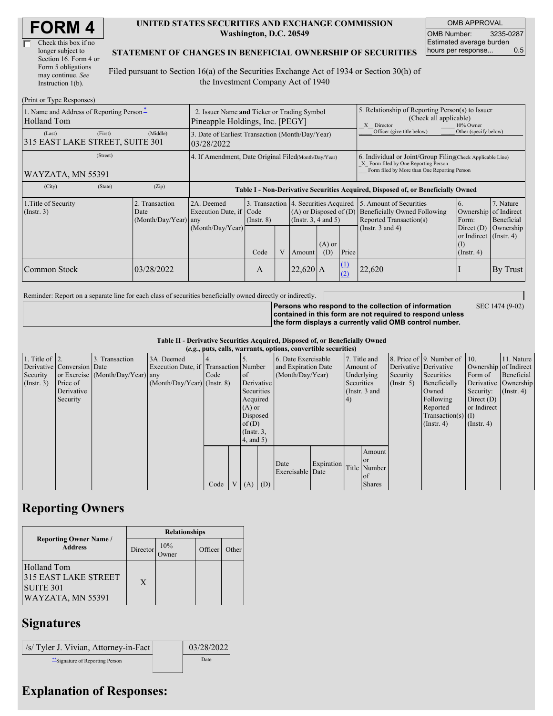| Check this box if no  |
|-----------------------|
| longer subject to     |
| Section 16. Form 4 or |
| Form 5 obligations    |
| may continue. See     |
| Instruction $1(b)$ .  |

#### **UNITED STATES SECURITIES AND EXCHANGE COMMISSION Washington, D.C. 20549**

OMB APPROVAL OMB Number: 3235-0287 Estimated average burden hours per response... 0.5

### **STATEMENT OF CHANGES IN BENEFICIAL OWNERSHIP OF SECURITIES**

Filed pursuant to Section 16(a) of the Securities Exchange Act of 1934 or Section 30(h) of the Investment Company Act of 1940

| (Print or Type Responses)                                      |                                                                                |                                                |                                                                                  |                         |   |                                                                                                                                   |                                                                                                                                                    |                 |                                                                                                                    |                                                                                               |                                                     |
|----------------------------------------------------------------|--------------------------------------------------------------------------------|------------------------------------------------|----------------------------------------------------------------------------------|-------------------------|---|-----------------------------------------------------------------------------------------------------------------------------------|----------------------------------------------------------------------------------------------------------------------------------------------------|-----------------|--------------------------------------------------------------------------------------------------------------------|-----------------------------------------------------------------------------------------------|-----------------------------------------------------|
| 1. Name and Address of Reporting Person-<br><b>Holland Tom</b> | 2. Issuer Name and Ticker or Trading Symbol<br>Pineapple Holdings, Inc. [PEGY] |                                                |                                                                                  |                         |   |                                                                                                                                   | 5. Relationship of Reporting Person(s) to Issuer<br>(Check all applicable)<br>X Director<br>10% Owner                                              |                 |                                                                                                                    |                                                                                               |                                                     |
| (Last)<br>315 EAST LAKE STREET, SUITE 301                      | (First)                                                                        | (Middle)                                       | 3. Date of Earliest Transaction (Month/Day/Year)<br>03/28/2022                   |                         |   |                                                                                                                                   |                                                                                                                                                    |                 | Officer (give title below)                                                                                         | Other (specify below)                                                                         |                                                     |
| WAYZATA, MN 55391                                              | 4. If Amendment, Date Original Filed Month/Day/Year)                           |                                                |                                                                                  |                         |   |                                                                                                                                   | 6. Individual or Joint/Group Filing Check Applicable Line)<br>X Form filed by One Reporting Person<br>Form filed by More than One Reporting Person |                 |                                                                                                                    |                                                                                               |                                                     |
| (City)                                                         | (State)                                                                        | (Zip)                                          | Table I - Non-Derivative Securities Acquired, Disposed of, or Beneficially Owned |                         |   |                                                                                                                                   |                                                                                                                                                    |                 |                                                                                                                    |                                                                                               |                                                     |
| 1. Title of Security<br>$($ Instr. 3 $)$                       |                                                                                | 2. Transaction<br>Date<br>(Month/Day/Year) any | 2A. Deemed<br>Execution Date, if Code<br>(Month/Day/Year)                        | $($ Instr. $8)$<br>Code | V | 3. Transaction 4. Securities Acquired<br>$(A)$ or Disposed of $(D)$<br>(Insert. 3, 4 and 5)<br>$(A)$ or<br>Price<br>(D)<br>Amount |                                                                                                                                                    |                 | 5. Amount of Securities<br><b>Beneficially Owned Following</b><br>Reported Transaction(s)<br>(Instr. $3$ and $4$ ) | 6.<br>Ownership<br>Form:<br>Direct $(D)$<br>or Indirect (Instr. 4)<br>(I)<br>$($ Instr. 4 $)$ | 7. Nature<br>of Indirect<br>Beneficial<br>Ownership |
| Common Stock                                                   |                                                                                | 03/28/2022                                     |                                                                                  | A                       |   | $22,620$ A                                                                                                                        |                                                                                                                                                    | $\Omega$<br>(2) | 22,620                                                                                                             |                                                                                               | By Trust                                            |

Reminder: Report on a separate line for each class of securities beneficially owned directly or indirectly.

**Persons who respond to the collection of information**

SEC 1474 (9-02)

**contained in this form are not required to respond unless the form displays a currently valid OMB control number.**

**Table II - Derivative Securities Acquired, Disposed of, or Beneficially Owned**

| (e.g., puts, calls, warrants, options, convertible securities) |                            |                                  |                                       |      |                |                 |  |                     |                         |              |                 |                  |                              |                       |                      |
|----------------------------------------------------------------|----------------------------|----------------------------------|---------------------------------------|------|----------------|-----------------|--|---------------------|-------------------------|--------------|-----------------|------------------|------------------------------|-----------------------|----------------------|
| 1. Title of $\vert$ 2.                                         |                            | 3. Transaction                   | 3A. Deemed                            |      |                |                 |  | 6. Date Exercisable |                         | 7. Title and |                 |                  | 8. Price of 9. Number of 10. |                       | 11. Nature           |
|                                                                | Derivative Conversion Date |                                  | Execution Date, if Transaction Number |      |                |                 |  | and Expiration Date |                         | Amount of    |                 |                  | Derivative Derivative        | Ownership of Indirect |                      |
| Security                                                       |                            | or Exercise (Month/Day/Year) any |                                       | Code |                | of              |  | (Month/Day/Year)    |                         | Underlying   |                 | Security         | Securities                   | Form of               | Beneficial           |
| (Insert. 3)                                                    | Price of                   |                                  | $(Month/Day/Year)$ (Instr. 8)         |      |                | Derivative      |  |                     |                         | Securities   |                 | $($ Instr. 5 $)$ | Beneficially                 |                       | Derivative Ownership |
|                                                                | Derivative                 |                                  |                                       |      |                | Securities      |  |                     |                         |              | (Instr. $3$ and |                  | Owned                        | Security:             | $($ Instr. 4 $)$     |
|                                                                | Security                   |                                  |                                       |      |                | Acquired        |  |                     |                         | (4)          |                 |                  | Following                    | Direct $(D)$          |                      |
|                                                                |                            |                                  |                                       |      |                | $(A)$ or        |  |                     |                         |              |                 |                  | Reported                     | or Indirect           |                      |
|                                                                |                            |                                  |                                       |      |                | Disposed        |  |                     |                         |              |                 |                  | $Transaction(s)$ (I)         |                       |                      |
|                                                                |                            |                                  |                                       |      |                | of(D)           |  |                     |                         |              |                 |                  | $($ Instr. 4 $)$             | $($ Instr. 4 $)$      |                      |
|                                                                |                            |                                  |                                       |      |                | $($ Instr. $3,$ |  |                     |                         |              |                 |                  |                              |                       |                      |
|                                                                |                            |                                  |                                       |      |                | 4, and 5)       |  |                     |                         |              |                 |                  |                              |                       |                      |
|                                                                |                            |                                  |                                       |      |                |                 |  |                     |                         |              | Amount          |                  |                              |                       |                      |
|                                                                |                            |                                  |                                       |      |                |                 |  | Date                |                         |              |                 |                  |                              |                       |                      |
|                                                                |                            |                                  |                                       |      |                |                 |  | Exercisable Date    | Expiration Title Number |              |                 |                  |                              |                       |                      |
|                                                                |                            |                                  |                                       |      |                |                 |  |                     |                         |              | of              |                  |                              |                       |                      |
|                                                                |                            |                                  |                                       | Code | V <sub>1</sub> | $(A)$ $(D)$     |  |                     |                         |              | <b>Shares</b>   |                  |                              |                       |                      |

# **Reporting Owners**

|                                                                              | <b>Relationships</b> |              |         |       |  |  |  |  |
|------------------------------------------------------------------------------|----------------------|--------------|---------|-------|--|--|--|--|
| <b>Reporting Owner Name /</b><br><b>Address</b>                              | Director             | 10%<br>)wner | Officer | Other |  |  |  |  |
| <b>Holland Tom</b><br>315 EAST LAKE STREET<br>SUITE 301<br>WAYZATA, MN 55391 | X                    |              |         |       |  |  |  |  |

# **Signatures**

| /s/ Tyler J. Vivian, Attorney-in-Fact | 03/28/2022 |
|---------------------------------------|------------|
| Signature of Reporting Person         | Date       |

# **Explanation of Responses:**